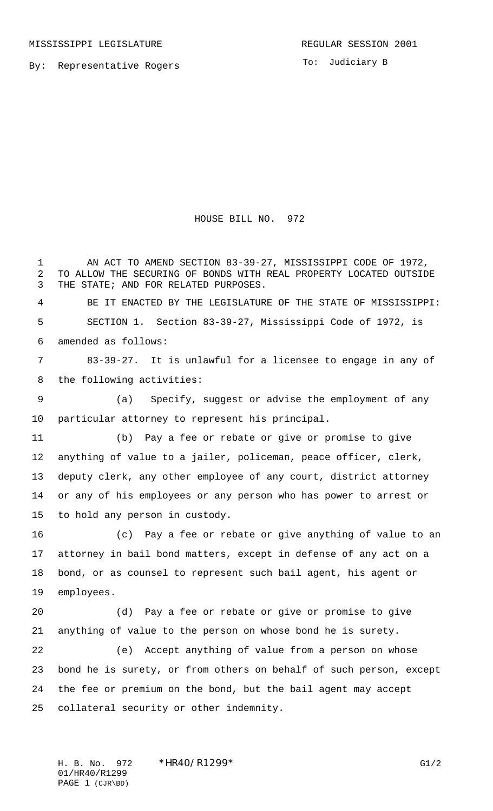By: Representative Rogers

To: Judiciary B

HOUSE BILL NO. 972

 AN ACT TO AMEND SECTION 83-39-27, MISSISSIPPI CODE OF 1972, TO ALLOW THE SECURING OF BONDS WITH REAL PROPERTY LOCATED OUTSIDE THE STATE; AND FOR RELATED PURPOSES.

 BE IT ENACTED BY THE LEGISLATURE OF THE STATE OF MISSISSIPPI: SECTION 1. Section 83-39-27, Mississippi Code of 1972, is amended as follows:

 83-39-27. It is unlawful for a licensee to engage in any of the following activities:

 (a) Specify, suggest or advise the employment of any particular attorney to represent his principal.

 (b) Pay a fee or rebate or give or promise to give anything of value to a jailer, policeman, peace officer, clerk, deputy clerk, any other employee of any court, district attorney or any of his employees or any person who has power to arrest or to hold any person in custody.

 (c) Pay a fee or rebate or give anything of value to an attorney in bail bond matters, except in defense of any act on a bond, or as counsel to represent such bail agent, his agent or employees.

 (d) Pay a fee or rebate or give or promise to give anything of value to the person on whose bond he is surety.

 (e) Accept anything of value from a person on whose bond he is surety, or from others on behalf of such person, except the fee or premium on the bond, but the bail agent may accept collateral security or other indemnity.